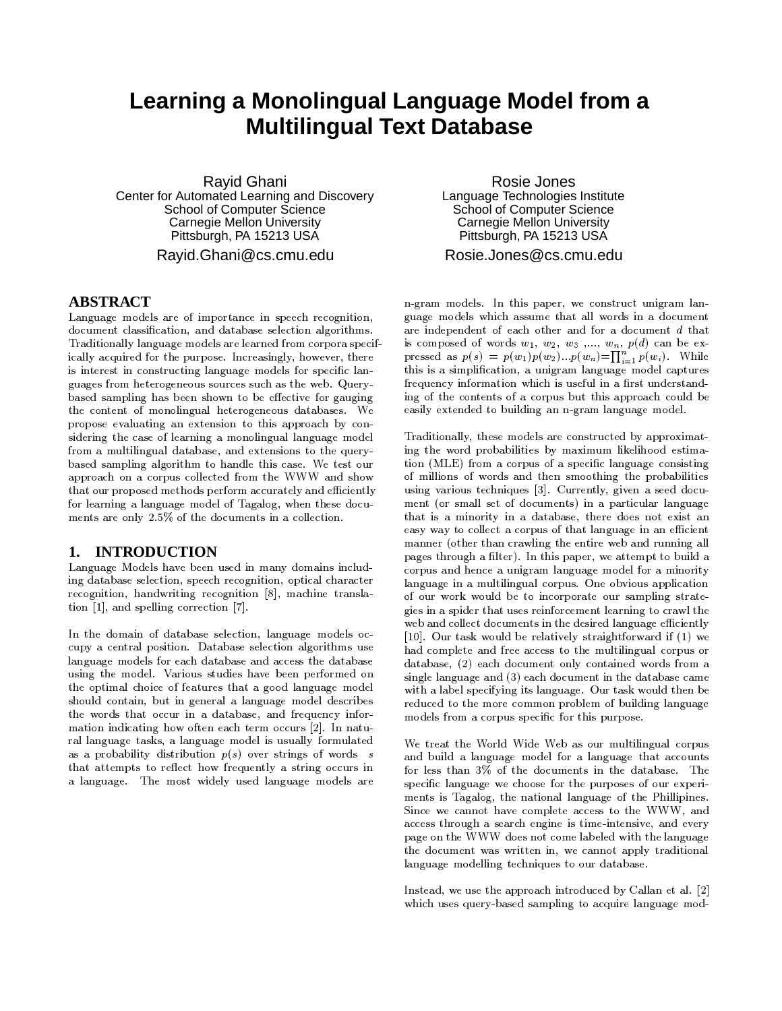# **Learning a Monolingual Language Model from a Multilingual Text Database**

Rayid Ghani Center for Automated Learning and Discovery School of Computer Science **Carnegie Mellon University** Pittsburgh, PA 15213 USA

Rayid.Ghani@cs.cmu.edu

#### **ABSTRACT**

Language models are of importance in speech recognition, document classification, and database selection algorithms. Traditionally language models are learned from corpora specifically acquired for the purpose. Increasingly, however, there is interest in constructing language models for specific languages from heterogeneous sources such as the web. Querybased sampling has been shown to be effective for gauging the content of monolingual heterogeneous databases. We propose evaluating an extension to this approach by considering the case of learning a monolingual language model from a multilingual database, and extensions to the querybased sampling algorithm to handle this case. We test our approach on a corpus collected from the WWW and show that our proposed methods perform accurately and efficiently for learning a language model of Tagalog, when these documents are only 2.5% of the documents in a collection.

#### **INTRODUCTION** 1.

Language Models have been used in many domains including database selection, speech recognition, optical character recognition, handwriting recognition [8], machine translation  $[1]$ , and spelling correction  $[7]$ .

In the domain of database selection, language models occupy a central position. Database selection algorithms use language models for each database and access the database using the model. Various studies have been performed on the optimal choice of features that a good language model should contain, but in general a language model describes the words that occur in a database, and frequency information indicating how often each term occurs [2]. In natural language tasks, a language model is usually formulated as a probability distribution  $p(s)$  over strings of words s that attempts to reflect how frequently a string occurs in a language. The most widely used language models are

Rosie Jones Language Technologies Institute School of Computer Science **Carnegie Mellon University** Pittsburgh, PA 15213 USA Rosie.Jones@cs.cmu.edu

n-gram models. In this paper, we construct unigram language models which assume that all words in a document are independent of each other and for a document  $d$  that is composed of words  $w_1$ ,  $w_2$ ,  $w_3$ ,...,  $w_n$ ,  $p(d)$  can be expressed as  $p(s) = p(w_1)p(w_2)...p(w_n) = \prod_{i=1}^n p(w_i)$ . While this is a simplification, a unigram language model captures frequency information which is useful in a first understanding of the contents of a corpus but this approach could be easily extended to building an n-gram language model.

Traditionally, these models are constructed by approximating the word probabilities by maximum likelihood estimation (MLE) from a corpus of a specific language consisting of millions of words and then smoothing the probabilities using various techniques [3]. Currently, given a seed document (or small set of documents) in a particular language that is a minority in a database, there does not exist an easy way to collect a corpus of that language in an efficient manner (other than crawling the entire web and running all pages through a filter). In this paper, we attempt to build a corpus and hence a unigram language model for a minority language in a multilingual corpus. One obvious application of our work would be to incorporate our sampling strategies in a spider that uses reinforcement learning to crawl the web and collect documents in the desired language efficiently [10]. Our task would be relatively straightforward if  $(1)$  we had complete and free access to the multilingual corpus or database, (2) each document only contained words from a single language and (3) each document in the database came with a label specifying its language. Our task would then be reduced to the more common problem of building language models from a corpus specific for this purpose.

We treat the World Wide Web as our multilingual corpus and build a language model for a language that accounts for less than 3% of the documents in the database. The specific language we choose for the purposes of our experiments is Tagalog, the national language of the Phillipines. Since we cannot have complete access to the WWW, and access through a search engine is time-intensive, and every page on the WWW does not come labeled with the language the document was written in, we cannot apply traditional language modelling techniques to our database.

Instead, we use the approach introduced by Callan et al. [2] which uses query-based sampling to acquire language mod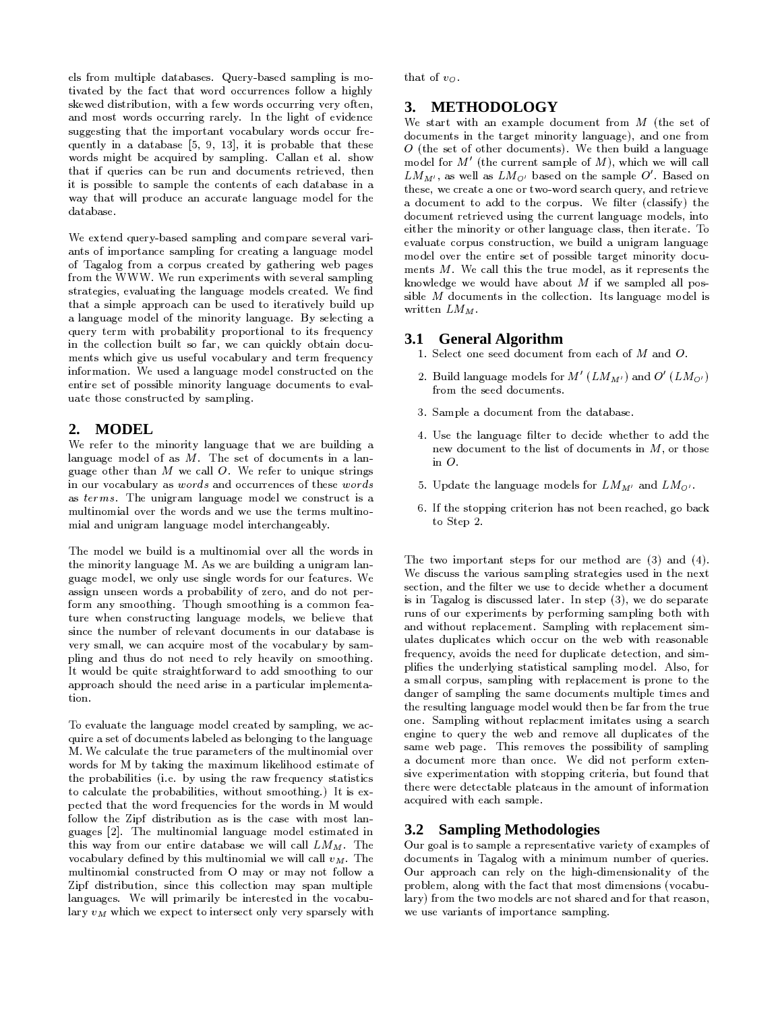els from multiple databases. Query-based sampling is motivated by the fact that word occurrences follow a highly skewed distribution, with a few words occurring very often, and most words occurring rarely. In the light of evidence suggesting that the important vocabulary words occur frequently in a database  $[5, 9, 13]$ , it is probable that these words might be acquired by sampling. Callan et al. show that if queries can be run and documents retrieved, then it is possible to sample the contents of each database in a way that will produce an accurate language model for the database.

We extend query-based sampling and compare several variants of importance sampling for creating a language model of Tagalog from a corpus created by gathering web pages from the WWW. We run experiments with several sampling strategies, evaluating the language models created. We find that a simple approach can be used to iteratively build up a language model of the minority language. By selecting a query term with probability proportional to its frequency in the collection built so far, we can quickly obtain documents which give us useful vocabulary and term frequency information. We used a language model constructed on the entire set of possible minority language documents to evaluate those constructed by sampling.

#### $2.$ **MODEL**

We refer to the minority language that we are building a language model of as  $M$ . The set of documents in a language other than  $M$  we call  $O$ . We refer to unique strings in our vocabulary as words and occurrences of these words as terms. The unigram language model we construct is a multinomial over the words and we use the terms multinomial and unigram language model interchangeably.

The model we build is a multinomial over all the words in the minority language M. As we are building a unigram language model, we only use single words for our features. We assign unseen words a probability of zero, and do not perform any smoothing. Though smoothing is a common feature when constructing language models, we believe that since the number of relevant documents in our database is very small, we can acquire most of the vocabulary by sampling and thus do not need to rely heavily on smoothing. It would be quite straightforward to add smoothing to our approach should the need arise in a particular implementation.

To evaluate the language model created by sampling, we acquire a set of documents labeled as belonging to the language M. We calculate the true parameters of the multinomial over words for M by taking the maximum likelihood estimate of the probabilities (i.e. by using the raw frequency statistics to calculate the probabilities, without smoothing.) It is expected that the word frequencies for the words in M would follow the Zipf distribution as is the case with most languages [2]. The multinomial language model estimated in this way from our entire database we will call  $LM_M$ . The vocabulary defined by this multinomial we will call  $v_M$ . The multinomial constructed from O may or may not follow a Zipf distribution, since this collection may span multiple languages. We will primarily be interested in the vocabulary  $v_M$  which we expect to intersect only very sparsely with

that of  $v_{\circ}$ .

#### 3. METHODOLOGY

We start with an example document from  $M$  (the set of documents in the target minority language), and one from  $O$  (the set of other documents). We then build a language model for  $M'$  (the current sample of  $M$ ), which we will call  $LM_{M'}$ , as well as  $LM_{O'}$  based on the sample O'. Based on these, we create a one or two-word search query, and retrieve a document to add to the corpus. We filter (classify) the document retrieved using the current language models, into either the minority or other language class, then iterate. To evaluate corpus construction, we build a unigram language model over the entire set of possible target minority documents  $M$ . We call this the true model, as it represents the knowledge we would have about  $M$  if we sampled all possible  $M$  documents in the collection. Its language model is written  $LM_M$ .

#### 3.1 General Algorithm

- 1. Select one seed document from each of  $M$  and  $O$ .
- 2. Build language models for  $M'(LM_{M'})$  and  $O'(LM_{O'})$ from the seed documents.
- 3. Sample a document from the database.
- 4. Use the language filter to decide whether to add the new document to the list of documents in  $M$ , or those in  $O$ .
- 5. Update the language models for  $LM_{M'}$  and  $LM_{O'}$ .
- 6. If the stopping criterion has not been reached, go back to Step 2.

The two important steps for our method are  $(3)$  and  $(4)$ . We discuss the various sampling strategies used in the next section, and the filter we use to decide whether a document is in Tagalog is discussed later. In step (3), we do separate runs of our experiments by performing sampling both with and without replacement. Sampling with replacement simulates duplicates which occur on the web with reasonable frequency, avoids the need for duplicate detection, and simplifies the underlying statistical sampling model. Also, for a small corpus, sampling with replacement is prone to the danger of sampling the same documents multiple times and the resulting language model would then be far from the true one. Sampling without replacment imitates using a search engine to query the web and remove all duplicates of the same web page. This removes the possibility of sampling a document more than once. We did not perform extensive experimentation with stopping criteria, but found that there were detectable plateaus in the amount of information acquired with each sample.

#### 3.2 Sampling Methodologies

Our goal is to sample a representative variety of examples of documents in Tagalog with a minimum number of queries. Our approach can rely on the high-dimensionality of the problem, along with the fact that most dimensions (vocabulary) from the two models are not shared and for that reason, we use variants of importance sampling.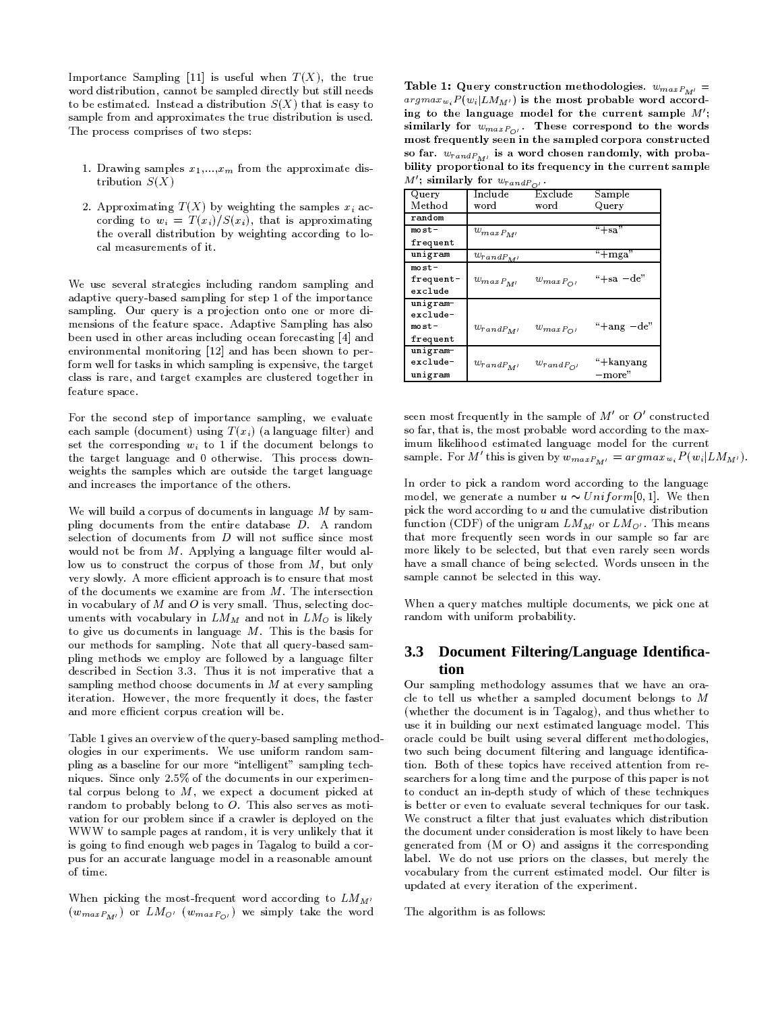Importance Sampling [11] is useful when  $T(X)$ , the true word distribution, cannot be sampled directly but still needs to be estimated. Instead a distribution  $S(X)$  that is easy to sample from and approximates the true distribution is used. The process comprises of two steps:

- 1. Drawing samples  $x_1,...,x_m$  from the approximate distribution  $S(X)$
- 2. Approximating  $T(X)$  by weighting the samples  $x_i$  according to  $w_i = T(x_i)/S(x_i)$ , that is approximating the overall distribution by weighting according to local measurements of it.

We use several strategies including random sampling and adaptive query-based sampling for step 1 of the importance sampling. Our query is a projection onto one or more dimensions of the feature space. Adaptive Sampling has also been used in other areas including ocean forecasting [4] and environmental monitoring [12] and has been shown to perform well for tasks in which sampling is expensive, the target class is rare, and target examples are clustered together in feature space.

For the second step of importance sampling, we evaluate each sample (document) using  $T(x_i)$  (a language filter) and set the corresponding  $w_i$  to 1 if the document belongs to the target language and 0 otherwise. This process downweights the samples which are outside the target language and increases the importance of the others.

We will build a corpus of documents in language  $M$  by sampling documents from the entire database  $D$ . A random selection of documents from D will not suffice since most would not be from  $M$ . Applying a language filter would allow us to construct the corpus of those from  $M$ , but only very slowly. A more efficient approach is to ensure that most of the documents we examine are from  $M$ . The intersection in vocabulary of  $M$  and  $O$  is very small. Thus, selecting documents with vocabulary in  $LM_M$  and not in  $LM_O$  is likely to give us documents in language  $M$ . This is the basis for our methods for sampling. Note that all query-based sampling methods we employ are followed by a language filter described in Section 3.3. Thus it is not imperative that a sampling method choose documents in  $M$  at every sampling iteration. However, the more frequently it does, the faster and more efficient corpus creation will be.

Table 1 gives an overview of the query-based sampling methodologies in our experiments. We use uniform random sampling as a baseline for our more "intelligent" sampling techniques. Since only 2.5% of the documents in our experimental corpus belong to  $M$ , we expect a document picked at random to probably belong to  $O$ . This also serves as motivation for our problem since if a crawler is deployed on the WWW to sample pages at random, it is very unlikely that it is going to find enough web pages in Tagalog to build a corpus for an accurate language model in a reasonable amount of time.

When picking the most-frequent word according to  $LM_{M'}$  $(w_{maxP_{M'}})$  or  $LM_{O'}(w_{maxP_{O'}})$  we simply take the word

Table 1: Query construction methodologies.  $w_{maxP_{M'}} =$  $argmax_{w_i} P(w_i|LM_{M'})$  is the most probable word according to the language model for the current sample  $M'$ ; similarly for  $w_{maxP_{O}}$ . These correspond to the words most frequently seen in the sampled corpora constructed so far.  $w_{randP_{M'}}$  is a word chosen randomly, with probability proportional to its frequency in the current sample  $M'$  similarly for  $w$ 

| $\ldots$ , similarly for $w_{\text{r}anar_{\Omega}}$ . |                  |                       |                    |  |
|--------------------------------------------------------|------------------|-----------------------|--------------------|--|
| Query                                                  | Include          | Exclude               | Sample             |  |
| Method                                                 | word             | word                  | Query              |  |
| random                                                 |                  |                       |                    |  |
| most-                                                  | $w_{maxP_M}$     |                       | $"+s\overline{a}"$ |  |
| frequent                                               |                  |                       |                    |  |
| unigram                                                | $w_{randP_{M'}}$ |                       | $"+mga"$           |  |
| most-                                                  |                  |                       |                    |  |
| frequent-                                              | $w_{max}P_{M}$   | $w_{max}P_{\alpha}$   | $"+sa -de"$        |  |
| exclude                                                |                  |                       |                    |  |
| unigram-                                               |                  |                       |                    |  |
| exclude-                                               |                  |                       |                    |  |
| most-                                                  | $w_{randP_{M'}}$ | $w_{max}P_{\Omega}$   | $"+ang -de"$       |  |
| frequent                                               |                  |                       |                    |  |
| unigram-                                               |                  |                       |                    |  |
| exclude-                                               | $w_{randP_{M'}}$ | $w_{randP_{\bigcap}}$ | "+kanyang          |  |
| unigram                                                |                  |                       | $-{\rm more}$ "    |  |
|                                                        |                  |                       |                    |  |

seen most frequently in the sample of  $M'$  or  $O'$  constructed so far, that is, the most probable word according to the maximum likelihood estimated language model for the current sample. For M' this is given by  $w_{maxP_{M'}} = argmax_{w_i} P(w_i | LM_{M'}).$ 

In order to pick a random word according to the language model, we generate a number  $u \sim Uniform[0,1]$ . We then pick the word according to  $u$  and the cumulative distribution function (CDF) of the unigram  $LM_{M'}$  or  $LM_{O'}$ . This means that more frequently seen words in our sample so far are more likely to be selected, but that even rarely seen words have a small chance of being selected. Words unseen in the sample cannot be selected in this way.

When a query matches multiple documents, we pick one at random with uniform probability.

#### Document Filtering/Language Identifica- $3.3$ tion

Our sampling methodology assumes that we have an oracle to tell us whether a sampled document belongs to  $M$ (whether the document is in Tagalog), and thus whether to use it in building our next estimated language model. This oracle could be built using several different methodologies, two such being document filtering and language identification. Both of these topics have received attention from researchers for a long time and the purpose of this paper is not to conduct an in-depth study of which of these techniques is better or even to evaluate several techniques for our task. We construct a filter that just evaluates which distribution the document under consideration is most likely to have been generated from  $(M \text{ or } O)$  and assigns it the corresponding label. We do not use priors on the classes, but merely the vocabulary from the current estimated model. Our filter is updated at every iteration of the experiment.

The algorithm is as follows: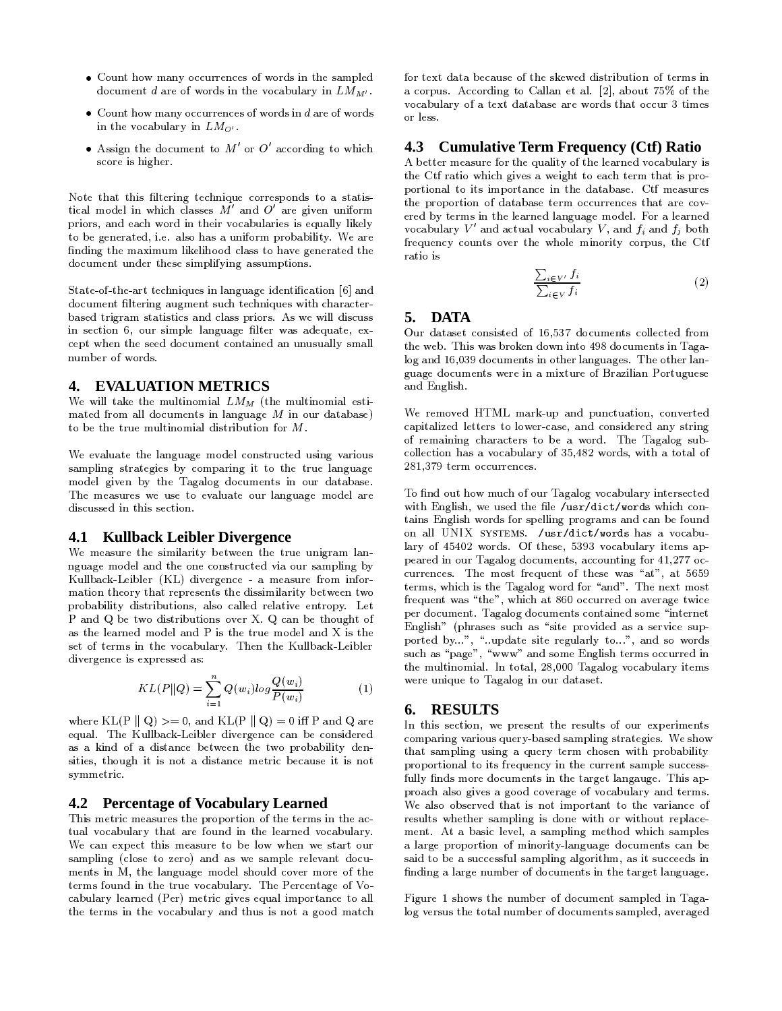- Count how many occurrences of words in the sampled document d are of words in the vocabulary in  $LM_{M'}$ .
- $\bullet$  Count how many occurrences of words in  $d$  are of words in the vocabulary in  $LM_{O'}$ .
- Assign the document to  $M'$  or  $O'$  according to which score is higher.

Note that this filtering technique corresponds to a statistical model in which classes  $M'$  and  $O'$  are given uniform priors, and each word in their vocabularies is equally likely to be generated, i.e. also has a uniform probability. We are finding the maximum likelihood class to have generated the document under these simplifying assumptions.

State-of-the-art techniques in language identification [6] and document filtering augment such techniques with characterbased trigram statistics and class priors. As we will discuss in section 6, our simple language filter was adequate, except when the seed document contained an unusually small number of words.

### **4. EVALUATION METRICS**

We will take the multinomial  $LM_M$  (the multinomial estimated from all documents in language  $M$  in our database) to be the true multinomial distribution for  $M$ .

We evaluate the language model constructed using various sampling strategies by comparing it to the true language model given by the Tagalog documents in our database. The measures we use to evaluate our language model are discussed in this section.

#### 4.1 Kullback Leibler Divergence

We measure the similarity between the true unigram lannguage model and the one constructed via our sampling by Kullback-Leibler (KL) divergence - a measure from information theory that represents the dissimilarity between two probability distributions, also called relative entropy. Let P and Q be two distributions over X. Q can be thought of as the learned model and P is the true model and X is the set of terms in the vocabulary. Then the Kullback-Leibler divergence is expressed as:

$$
KL(P||Q) = \sum_{i=1}^{n} Q(w_i) \log \frac{Q(w_i)}{P(w_i)}
$$
(1)

where  $KL(P || Q) >= 0$ , and  $KL(P || Q) = 0$  iff P and Q are equal. The Kullback-Leibler divergence can be considered as a kind of a distance between the two probability densities, though it is not a distance metric because it is not symmetric.

#### 4.2 Percentage of Vocabulary Learned

This metric measures the proportion of the terms in the actual vocabulary that are found in the learned vocabulary. We can expect this measure to be low when we start our sampling (close to zero) and as we sample relevant documents in M, the language model should cover more of the terms found in the true vocabulary. The Percentage of Vocabulary learned (Per) metric gives equal importance to all the terms in the vocabulary and thus is not a good match for text data because of the skewed distribution of terms in a corpus. According to Callan et al. [2], about 75% of the vocabulary of a text database are words that occur 3 times or less.

### 4.3 Cumulative Term Frequency (Ctf) Ratio

A better measure for the quality of the learned vocabulary is the Ctf ratio which gives a weight to each term that is proportional to its importance in the database. Ctf measures the proportion of database term occurrences that are covered by terms in the learned language model. For a learned vocabulary  $V'$  and actual vocabulary V, and  $f_i$  and  $f_j$  both frequency counts over the whole minority corpus, the Ctf ratio is

$$
\frac{\sum_{i \in V'} f_i}{\sum_{i \in V} f_i} \tag{2}
$$

## 5. DATA

Our dataset consisted of 16.537 documents collected from the web. This was broken down into 498 documents in Tagalog and 16,039 documents in other languages. The other language documents were in a mixture of Brazilian Portuguese and English.

We removed HTML mark-up and punctuation, converted capitalized letters to lower-case, and considered any string of remaining characters to be a word. The Tagalog subcollection has a vocabulary of 35,482 words, with a total of 281.379 term occurrences.

To find out how much of our Tagalog vocabulary intersected with English, we used the file /usr/dict/words which contains English words for spelling programs and can be found on all UNIX SYSTEMS. /usr/dict/words has a vocabulary of 45402 words. Of these, 5393 vocabulary items appeared in our Tagalog documents, accounting for 41,277 occurrences. The most frequent of these was "at", at 5659 terms, which is the Tagalog word for "and". The next most frequent was "the", which at 860 occurred on average twice per document. Tagalog documents contained some "internet" English" (phrases such as "site provided as a service supported by...", "..update site regularly to...", and so words such as "page", "www" and some English terms occurred in the multinomial. In total, 28,000 Tagalog vocabulary items were unique to Tagalog in our dataset.

#### 6. RESULTS

In this section, we present the results of our experiments comparing various query-based sampling strategies. We show that sampling using a query term chosen with probability proportional to its frequency in the current sample successfully finds more documents in the target language. This approach also gives a good coverage of vocabulary and terms. We also observed that is not important to the variance of results whether sampling is done with or without replacement. At a basic level, a sampling method which samples a large proportion of minority-language documents can be said to be a successful sampling algorithm, as it succeeds in finding a large number of documents in the target language.

Figure 1 shows the number of document sampled in Tagalog versus the total number of documents sampled, averaged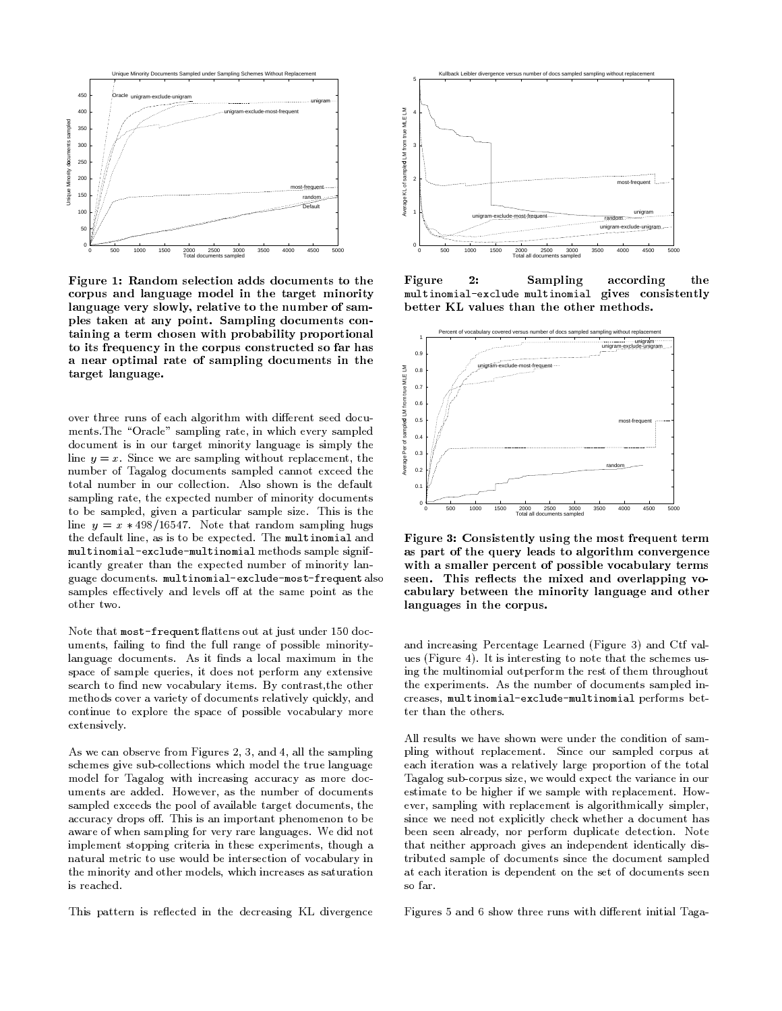

Figure 1: Random selection adds documents to the corpus and language model in the target minority language very slowly, relative to the number of samples taken at any point. Sampling documents containing a term chosen with probability proportional to its frequency in the corpus constructed so far has a near optimal rate of sampling documents in the target language.

over three runs of each algorithm with different seed documents. The "Oracle" sampling rate, in which every sampled document is in our target minority language is simply the line  $y = x$ . Since we are sampling without replacement, the number of Tagalog documents sampled cannot exceed the total number in our collection. Also shown is the default sampling rate, the expected number of minority documents to be sampled, given a particular sample size. This is the line  $y = x * 498/16547$ . Note that random sampling hugs the default line, as is to be expected. The multinomial and multinomial-exclude-multinomial methods sample significantly greater than the expected number of minority language documents. multinomial-exclude-most-frequent also samples effectively and levels off at the same point as the other two.

Note that most-frequent flattens out at just under 150 documents, failing to find the full range of possible minoritylanguage documents. As it finds a local maximum in the space of sample queries, it does not perform any extensive search to find new vocabulary items. By contrast, the other methods cover a variety of documents relatively quickly, and continue to explore the space of possible vocabulary more extensively.

As we can observe from Figures 2, 3, and 4, all the sampling schemes give sub-collections which model the true language model for Tagalog with increasing accuracy as more documents are added. However, as the number of documents sampled exceeds the pool of available target documents, the accuracy drops off. This is an important phenomenon to be aware of when sampling for very rare languages. We did not implement stopping criteria in these experiments, though a natural metric to use would be intersection of vocabulary in the minority and other models, which increases as saturation is reached.

This pattern is reflected in the decreasing KL divergence



Figure  $2:$ Sampling according the multinomial-exclude multinomial gives consistently better KL values than the other methods.



Figure 3: Consistently using the most frequent term as part of the query leads to algorithm convergence with a smaller percent of possible vocabulary terms seen. This reflects the mixed and overlapping vocabulary between the minority language and other languages in the corpus.

and increasing Percentage Learned (Figure 3) and Ctf values (Figure 4). It is interesting to note that the schemes using the multinomial outperform the rest of them throughout the experiments. As the number of documents sampled increases, multinomial-exclude-multinomial performs better than the others.

All results we have shown were under the condition of sampling without replacement. Since our sampled corpus at each iteration was a relatively large proportion of the total Tagalog sub-corpus size, we would expect the variance in our estimate to be higher if we sample with replacement. However, sampling with replacement is algorithmically simpler, since we need not explicitly check whether a document has been seen already, nor perform duplicate detection. Note that neither approach gives an independent identically distributed sample of documents since the document sampled at each iteration is dependent on the set of documents seen so far.

Figures 5 and 6 show three runs with different initial Taga-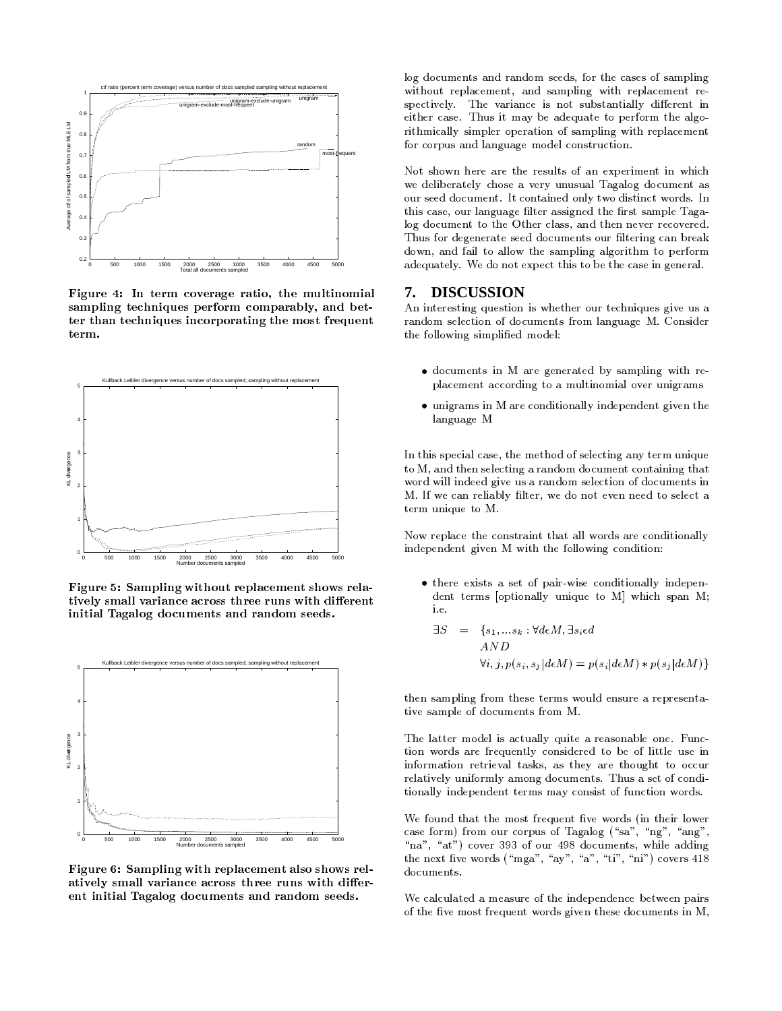

Figure 4: In term coverage ratio, the multinomial sampling techniques perform comparably, and better than techniques incorporating the most frequent term.



Figure 5: Sampling without replacement shows relatively small variance across three runs with different initial Tagalog documents and random seeds.



Figure 6: Sampling with replacement also shows relatively small variance across three runs with different initial Tagalog documents and random seeds.

log documents and random seeds, for the cases of sampling without replacement, and sampling with replacement respectively. The variance is not substantially different in either case. Thus it may be adequate to perform the algorithmically simpler operation of sampling with replacement for corpus and language model construction.

Not shown here are the results of an experiment in which we deliberately chose a very unusual Tagalog document as our seed document. It contained only two distinct words. In this case, our language filter assigned the first sample Tagalog document to the Other class, and then never recovered. Thus for degenerate seed documents our filtering can break down, and fail to allow the sampling algorithm to perform adequately. We do not expect this to be the case in general.

#### **DISCUSSION** 7.

An interesting question is whether our techniques give us a random selection of documents from language M. Consider the following simplified model:

- documents in M are generated by sampling with replacement according to a multinomial over unigrams
- $\bullet$  unigrams in M are conditionally independent given the language M

In this special case, the method of selecting any term unique to M, and then selecting a random document containing that word will indeed give us a random selection of documents in M. If we can reliably filter, we do not even need to select a term unique to M.

Now replace the constraint that all words are conditionally independent given M with the following condition:

• there exists a set of pair-wise conditionally independent terms [optionally unique to M] which span M; i.e.

$$
\exists S = \{s_1, \dots s_k : \forall d \in M, \exists s_i \in d
$$
  
AND  

$$
\forall i, j, p(s_i, s_j | d \in M) = p(s_i | d \in M) * p(s_j | d \in M)\}
$$

then sampling from these terms would ensure a representative sample of documents from M.

The latter model is actually quite a reasonable one. Function words are frequently considered to be of little use in information retrieval tasks, as they are thought to occur relatively uniformly among documents. Thus a set of conditionally independent terms may consist of function words.

We found that the most frequent five words (in their lower case form) from our corpus of Tagalog ("sa", "ng", "ang", "na", "at") cover 393 of our 498 documents, while adding the next five words ("mga", "ay", "a", "ti", "ni") covers  $418$ documents.

We calculated a measure of the independence between pairs of the five most frequent words given these documents in M,